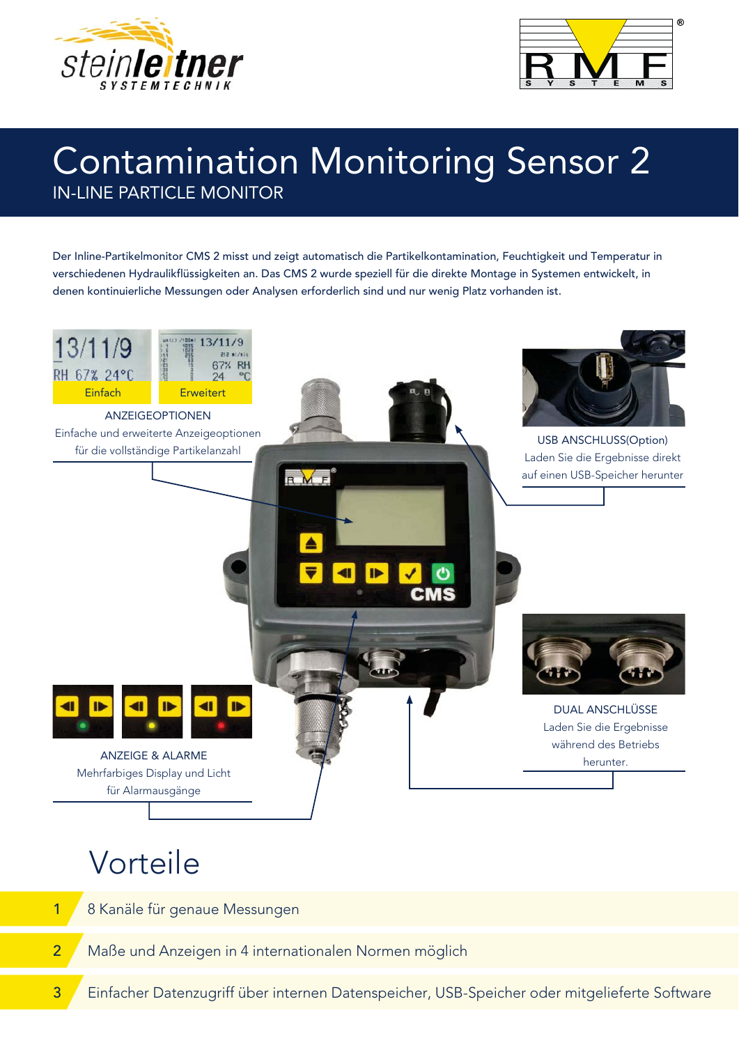



### **Contamination Monitoring Sensor 2 IN-LINE PARTICLE MONITOR**

Der Inline-Partikelmonitor CMS 2 misst und zeigt automatisch die Partikelkontamination, Feuchtigkeit und Temperatur in verschiedenen Hydraulikflüssigkeiten an. Das CMS 2 wurde speziell für die direkte Montage in Systemen entwickelt, in denen kontinuierliche Messungen oder Analysen erforderlich sind und nur wenig Platz vorhanden ist.



## Vorteile

 $\overline{1}$ 

 $\overline{2}$ 

- 8 Kanäle für genaue Messungen
- Maße und Anzeigen in 4 internationalen Normen möglich
- Einfacher Datenzugriff über internen Datenspeicher, USB-Speicher oder mitgelieferte Software 3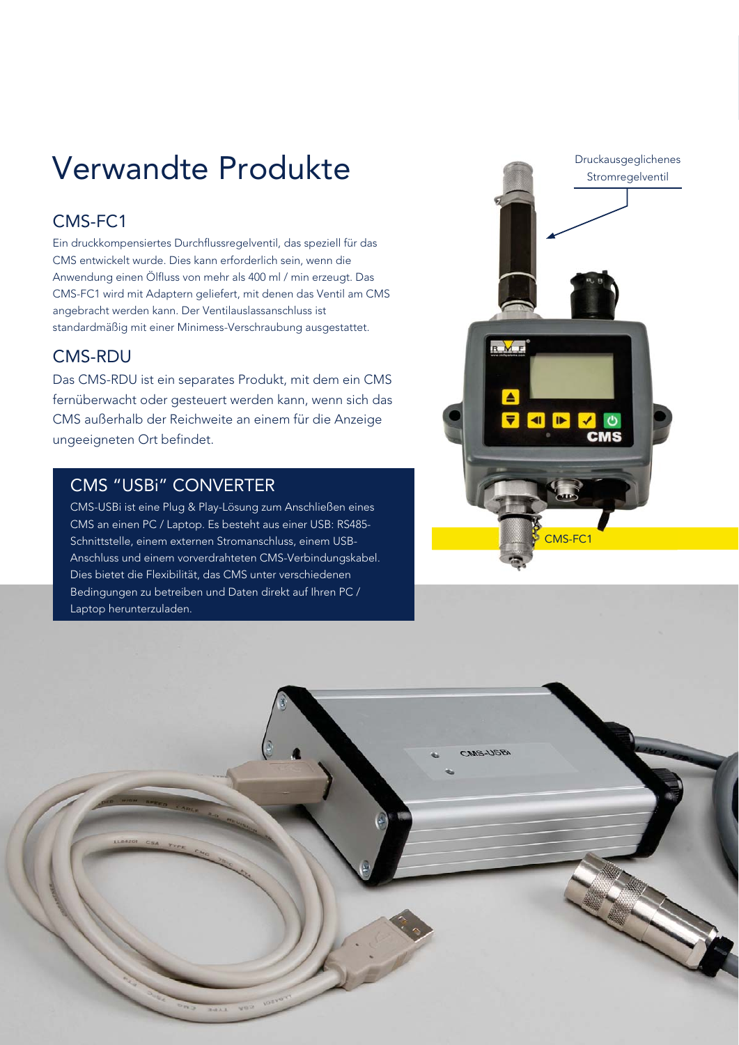## Verwandte Produkte

#### CMS-FC1

Ein druckkompensiertes Durchflussregelventil, das speziell für das CMS entwickelt wurde. Dies kann erforderlich sein, wenn die Anwendung einen Ölfluss von mehr als 400 ml / min erzeugt. Das CMS-FC1 wird mit Adaptern geliefert, mit denen das Ventil am CMS angebracht werden kann. Der Ventilauslassanschluss ist standardmäßig mit einer Minimess-Verschraubung ausgestattet.

#### **CMS-RDU**

Das CMS-RDU ist ein separates Produkt, mit dem ein CMS fernüberwacht oder gesteuert werden kann, wenn sich das CMS außerhalb der Reichweite an einem für die Anzeige ungeeigneten Ort befindet.

#### **CMS "USBI" CONVERTER**

CMS-USBi ist eine Plug & Play-Lösung zum Anschließen eines CMS an einen PC / Laptop. Es besteht aus einer USB: RS485-Schnittstelle, einem externen Stromanschluss, einem USB-Anschluss und einem vorverdrahteten CMS-Verbindungskabel. Dies bietet die Flexibilität, das CMS unter verschiedenen Bedingungen zu betreiben und Daten direkt auf Ihren PC / Laptop herunterzuladen.



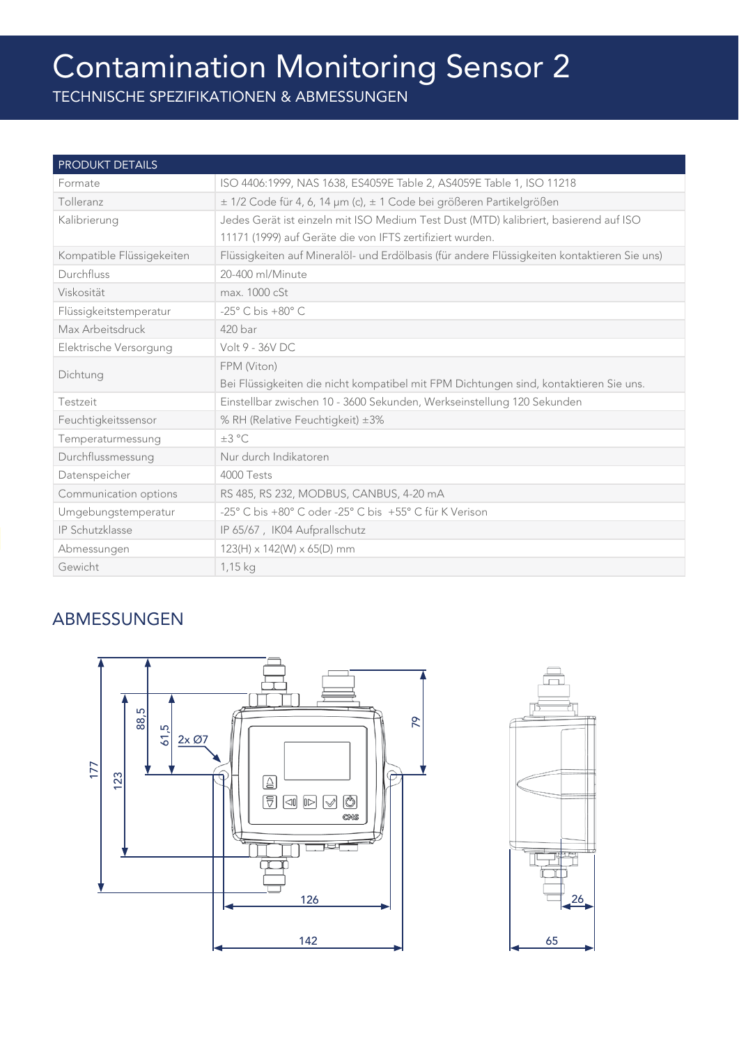# Contamination Monitoring Sensor 2

| <b>PRODUKT DETAILS</b>    |                                                                                             |
|---------------------------|---------------------------------------------------------------------------------------------|
| Formate                   | ISO 4406:1999, NAS 1638, ES4059E Table 2, AS4059E Table 1, ISO 11218                        |
| Tolleranz                 | ± 1/2 Code für 4, 6, 14 µm (c), ± 1 Code bei größeren Partikelgrößen                        |
| Kalibrierung              | Jedes Gerät ist einzeln mit ISO Medium Test Dust (MTD) kalibriert, basierend auf ISO        |
|                           | 11171 (1999) auf Geräte die von IFTS zertifiziert wurden.                                   |
| Kompatible Flüssigekeiten | Flüssigkeiten auf Mineralöl- und Erdölbasis (für andere Flüssigkeiten kontaktieren Sie uns) |
| Durchfluss                | 20-400 ml/Minute                                                                            |
| Viskosität                | max. 1000 cSt                                                                               |
| Flüssigkeitstemperatur    | $-25^\circ$ C bis $+80^\circ$ C                                                             |
| Max Arbeitsdruck          | $420$ bar                                                                                   |
| Elektrische Versorgung    | Volt 9 - 36V DC                                                                             |
| Dichtung                  | FPM (Viton)                                                                                 |
|                           | Bei Flüssigkeiten die nicht kompatibel mit FPM Dichtungen sind, kontaktieren Sie uns.       |
| Testzeit                  | Einstellbar zwischen 10 - 3600 Sekunden, Werkseinstellung 120 Sekunden                      |
| Feuchtigkeitssensor       | % RH (Relative Feuchtigkeit) ±3%                                                            |
| Temperaturmessung         | $\pm 3$ °C                                                                                  |
| Durchflussmessung         | Nur durch Indikatoren                                                                       |
| Datenspeicher             | 4000 Tests                                                                                  |
| Communication options     | RS 485, RS 232, MODBUS, CANBUS, 4-20 mA                                                     |
| Umgebungstemperatur       | -25° C bis +80° C oder -25° C bis +55° C für K Verison                                      |
| IP Schutzklasse           | IP 65/67, IK04 Aufprallschutz                                                               |
| Abmessungen               | $123(H) \times 142(W) \times 65(D)$ mm                                                      |
| Gewicht                   | $1,15$ kg                                                                                   |

#### ABMESSUNGEN